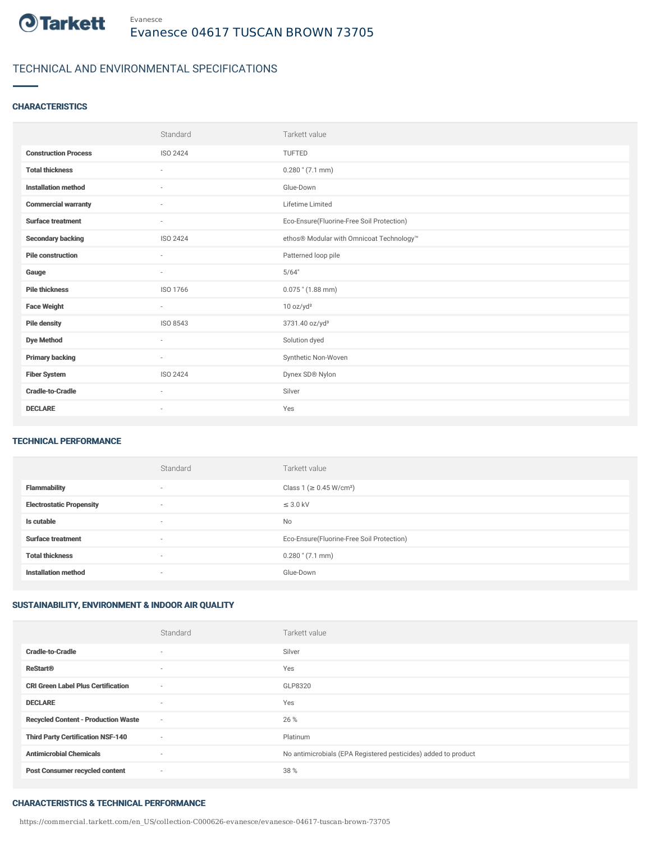

## TECHNICAL AND ENVIRONMENTAL SPECIFICATIONS

## **CHARACTERISTICS**

|                             | Standard                 | Tarkett value                             |
|-----------------------------|--------------------------|-------------------------------------------|
| <b>Construction Process</b> | ISO 2424                 | TUFTED                                    |
| <b>Total thickness</b>      | ٠                        | $0.280$ " (7.1 mm)                        |
| <b>Installation method</b>  | $\sim$                   | Glue-Down                                 |
| <b>Commercial warranty</b>  | $\overline{\phantom{a}}$ | Lifetime Limited                          |
| <b>Surface treatment</b>    | $\sim$                   | Eco-Ensure(Fluorine-Free Soil Protection) |
| <b>Secondary backing</b>    | ISO 2424                 | ethos® Modular with Omnicoat Technology™  |
| <b>Pile construction</b>    | ٠                        | Patterned loop pile                       |
| Gauge                       | $\sim$                   | 5/64"                                     |
| <b>Pile thickness</b>       | ISO 1766                 | $0.075$ " (1.88 mm)                       |
| <b>Face Weight</b>          | $\sim$                   | 10 oz/yd <sup>2</sup>                     |
| <b>Pile density</b>         | ISO 8543                 | 3731.40 oz/yd <sup>3</sup>                |
| <b>Dye Method</b>           | $\sim$                   | Solution dyed                             |
| <b>Primary backing</b>      | $\sim$                   | Synthetic Non-Woven                       |
| <b>Fiber System</b>         | ISO 2424                 | Dynex SD® Nylon                           |
| <b>Cradle-to-Cradle</b>     | $\sim$                   | Silver                                    |
| <b>DECLARE</b>              | ٠                        | Yes                                       |

### TECHNICAL PERFORMANCE

|                                 | Standard                 | Tarkett value                             |
|---------------------------------|--------------------------|-------------------------------------------|
| <b>Flammability</b>             | $\overline{\phantom{a}}$ | Class 1 (≥ 0.45 W/cm <sup>2</sup> )       |
| <b>Electrostatic Propensity</b> | $\overline{\phantom{a}}$ | $\leq$ 3.0 kV                             |
| Is cutable                      | $\overline{\phantom{a}}$ | <b>No</b>                                 |
| <b>Surface treatment</b>        | $\overline{\phantom{a}}$ | Eco-Ensure(Fluorine-Free Soil Protection) |
| <b>Total thickness</b>          | $\overline{\phantom{a}}$ | $0.280$ " $(7.1$ mm)                      |
| <b>Installation method</b>      | $\overline{\phantom{a}}$ | Glue-Down                                 |

## SUSTAINABILITY, ENVIRONMENT & INDOOR AIR QUALITY

|                                            | Standard                 | Tarkett value                                                  |
|--------------------------------------------|--------------------------|----------------------------------------------------------------|
| <b>Cradle-to-Cradle</b>                    | $\overline{\phantom{a}}$ | Silver                                                         |
| <b>ReStart®</b>                            | $\sim$                   | Yes                                                            |
| <b>CRI Green Label Plus Certification</b>  | $\sim$                   | GLP8320                                                        |
| <b>DECLARE</b>                             | $\overline{\phantom{a}}$ | Yes                                                            |
| <b>Recycled Content - Production Waste</b> | $\sim$                   | 26 %                                                           |
| <b>Third Party Certification NSF-140</b>   | ٠                        | Platinum                                                       |
| <b>Antimicrobial Chemicals</b>             | ٠                        | No antimicrobials (EPA Registered pesticides) added to product |
| <b>Post Consumer recycled content</b>      | ٠                        | 38 %                                                           |

#### CHARACTERISTICS & TECHNICAL PERFORMANCE